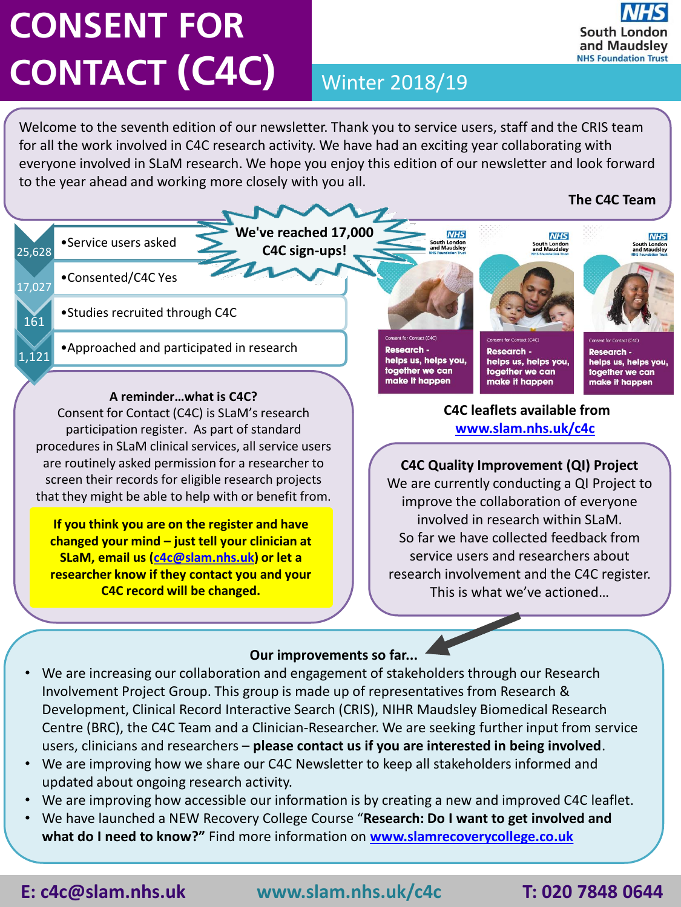# **CONSENT FOR CONTACT (C4C)** Winter 2018/19

Welcome to the seventh edition of our newsletter. Thank you to service users, staff and the CRIS team for all the work involved in C4C research activity. We have had an exciting year collaborating with everyone involved in SLaM research. We hope you enjoy this edition of our newsletter and look forward to the year ahead and working more closely with you all.



**SLaM, email us ([c4c@slam.nhs.uk\)](mailto:c4c@slam.nhs.uk) or let a researcher know if they contact you and your C4C record will be changed.**

### **Our improvements so far...**

- We are increasing our collaboration and engagement of stakeholders through our Research Involvement Project Group. This group is made up of representatives from Research & Development, Clinical Record Interactive Search (CRIS), NIHR Maudsley Biomedical Research Centre (BRC), the C4C Team and a Clinician-Researcher. We are seeking further input from service users, clinicians and researchers – **please contact us if you are interested in being involved**.
- We are improving how we share our C4C Newsletter to keep all stakeholders informed and updated about ongoing research activity.
- We are improving how accessible our information is by creating a new and improved C4C leaflet.
- We have launched a NEW Recovery College Course "**Research: Do I want to get involved and what do I need to know?"** Find more information on **[www.slamrecoverycollege.co.uk](http://www.slamrecoverycollege.co.uk/)**

**E: c4c@slam.nhs.uk www.slam.nhs.uk/c4c T: 020 7848 0644**

research involvement and the C4C register. This is what we've actioned…